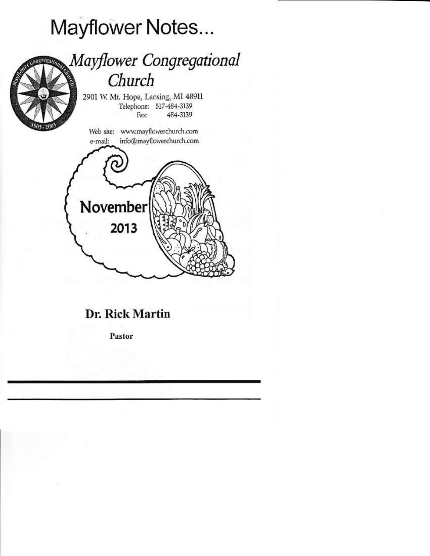# Mayflower Notes...



# Dr. Rick Martin

Pastor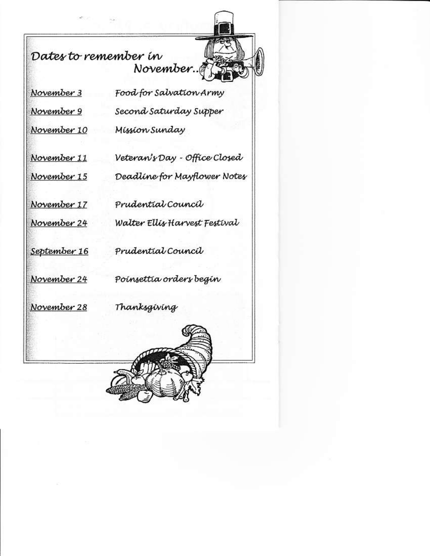Dates to remember in November T

William

November 3

November 9

November 10

November 11

November 15

November 17

November 24

September 16

Food for Salvation Army Second Saturday Supper Míssíon Sundav

Veteran's Day - Office Closed Deadline for Mayflower Notes

Prudential Council

Walter Ellis Harvest Festival

Prudential Council

November 24

Poinsettia orders begin

November 28

Thanksgiving

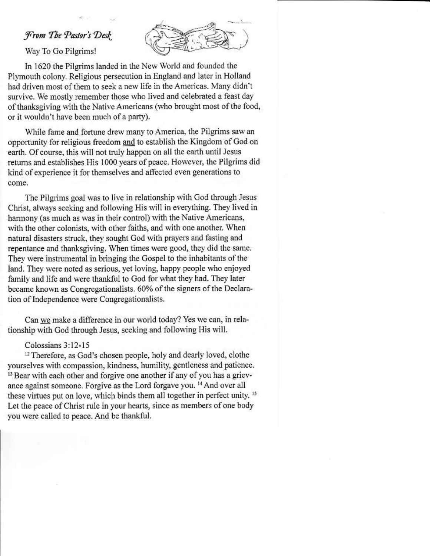# From The Pastor's Desk

Way To Go Pilgrims!



In 1620 the Pilgrims landed in the New World and founded the Plymouth colony. Religious persecution in England and later in Holland had driven most of them to seek a new life in the Americas. Many didn't survive. We mostly remember those who lived and celebrated a feast day of thanksgiving with the Native Americans (who brought most of the food, or it wouldn't have been much of a party).

While fame and fortune drew many to America, the Pilgrims saw an opportunity for religious freedom and to establish the Kingdom of God on earth. Of course, this will not truly happen on all the earth until Jesus returns and establishes His 1000 years of peace. However, the Pilgrims did kind of experience it for themselves and affected even generations to come.

The Pilgrims goal was to live in relationship with God through Jesus Christ, always seeking and following His will in everything. They lived in harmony (as much as was in their control) with the Native Americans, with the other colonists, with other faiths, and with one another. When natural disasters struck, they sought God with prayers and fasting and repentance and thanksgiving. When times were good, they did the same. They were instrumental in bringing the Gospel to the inhabitants of the land. They were noted as serious, yet loving, happy people who enjoyed family and life and were thankful to God for what they had. They later became known as Congregationalists. 60% of the signers of the Declaration of Independence were Congregationalists.

Can we make a difference in our world today? Yes we can, in relationship with God through Jesus, seeking and following His will.

#### Colossians 3:12-15

<sup>12</sup> Therefore, as God's chosen people, holy and dearly loved, clothe yourselves with compassion, kindness, humility, gentleness and patience. <sup>13</sup> Bear with each other and forgive one another if any of you has a grievance against someone. Forgive as the Lord forgave you. <sup>14</sup> And over all these virtues put on love, which binds them all together in perfect unity.<sup>15</sup> Let the peace of Christ rule in your hearts, since as members of one body you were called to peace. And be thankful.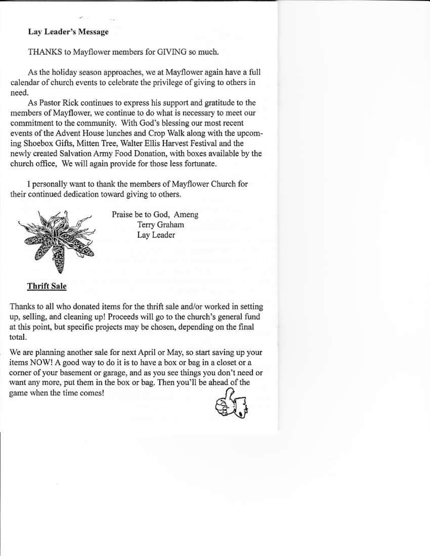## **Lay Leader's Message**

THANKS to Mayflower members for GIVING so much.

As the holiday season approaches, we at Mayflower again have a full calendar of church events to celebrate the privilege of giving to others in need.

As Pastor Rick continues to express his support and gratitude to the members of Mayflower, we continue to do what is necessary to meet our commitment to the community. With God's blessing our most recent events of the Advent House lunches and Crop Walk along with the upcoming Shoebox Gifts, Mitten Tree, Walter Ellis Harvest Festival and the newly created Salvation Army Food Donation, with boxes available by the church office. We will again provide for those less fortunate.

I personally want to thank the members of Mayflower Church for their continued dedication toward giving to others.



Praise be to God, Ameng Terry Graham Lay Leader

**Thrift Sale** 

Thanks to all who donated items for the thrift sale and/or worked in setting up, selling, and cleaning up! Proceeds will go to the church's general fund at this point, but specific projects may be chosen, depending on the final total.

We are planning another sale for next April or May, so start saving up your items NOW! A good way to do it is to have a box or bag in a closet or a corner of your basement or garage, and as you see things you don't need or want any more, put them in the box or bag. Then you'll be ahead of the game when the time comes!

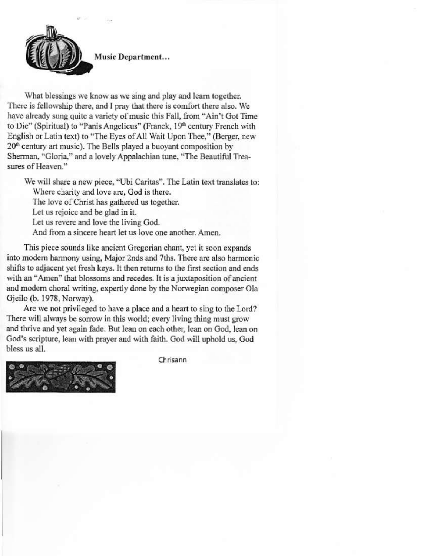

Music Department...

What blessings we know as we sing and play and learn together. There is fellowship there, and I pray that there is comfort there also. We have already sung quite a variety of music this Fall, from "Ain't Got Time to Die" (Spiritual) to "Panis Angelicus" (Franck, 19<sup>th</sup> century French with English or Latin text) to "The Eyes of All Wait Upon Thee," (Berger, new 20<sup>th</sup> century art music). The Bells played a buoyant composition by Sherman, "Gloria," and a lovely Appalachian tune, "The Beautiful Treasures of Heaven."

We will share a new piece, "Ubi Caritas". The Latin text translates to: Where charity and love are, God is there. The love of Christ has gathered us together. Let us rejoice and be glad in it. Let us revere and love the living God. And from a sincere heart let us love one another. Amen.

This piece sounds like ancient Gregorian chant, yet it soon expands into modern harmony using, Major 2nds and 7ths. There are also harmonic shifts to adjacent yet fresh keys. It then returns to the first section and ends with an "Amen" that blossoms and recedes. It is a juxtaposition of ancient and modern choral writing, expertly done by the Norwegian composer Ola Gjeilo (b. 1978, Norway).

Are we not privileged to have a place and a heart to sing to the Lord? There will always be sorrow in this world; every living thing must grow and thrive and yet again fade. But lean on each other, lean on God, lean on God's scripture, lean with prayer and with faith. God will uphold us, God bless us all.



Chrisann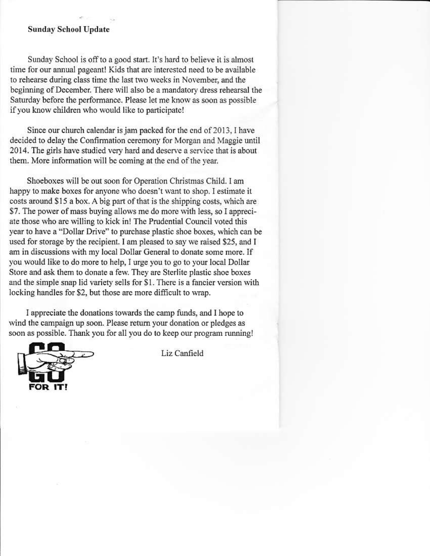#### **Sunday School Update**

Sunday School is off to a good start. It's hard to believe it is almost time for our annual pageant! Kids that are interested need to be available to rehearse during class time the last two weeks in November, and the beginning of December. There will also be a mandatory dress rehearsal the Saturday before the performance. Please let me know as soon as possible if you know children who would like to participate!

Since our church calendar is jam packed for the end of 2013, I have decided to delay the Confirmation ceremony for Morgan and Maggie until 2014. The girls have studied very hard and deserve a service that is about them. More information will be coming at the end of the year.

Shoeboxes will be out soon for Operation Christmas Child. I am happy to make boxes for anyone who doesn't want to shop. I estimate it costs around \$15 a box. A big part of that is the shipping costs, which are \$7. The power of mass buying allows me do more with less, so I appreciate those who are willing to kick in! The Prudential Council voted this year to have a "Dollar Drive" to purchase plastic shoe boxes, which can be used for storage by the recipient. I am pleased to say we raised \$25, and I am in discussions with my local Dollar General to donate some more. If you would like to do more to help, I urge you to go to your local Dollar Store and ask them to donate a few. They are Sterlite plastic shoe boxes and the simple snap lid variety sells for \$1. There is a fancier version with locking handles for \$2, but those are more difficult to wrap.

I appreciate the donations towards the camp funds, and I hope to wind the campaign up soon. Please return your donation or pledges as soon as possible. Thank you for all you do to keep our program running!



Liz Canfield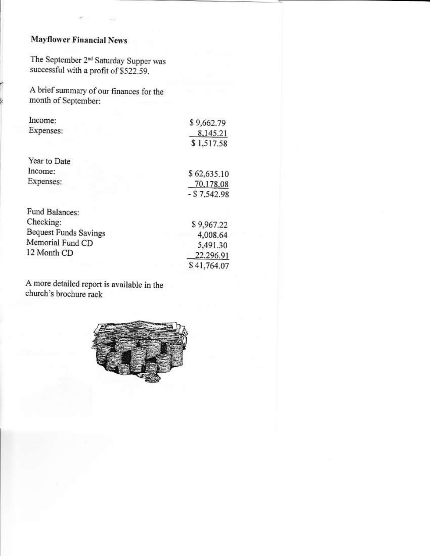## **Mayflower Financial News**

The September 2<sup>nd</sup> Saturday Supper was successful with a profit of \$522.59.

A brief summary of our finances for the month of September:

|                                                              | \$9,662.79    |
|--------------------------------------------------------------|---------------|
| Income:<br>Expenses:<br>Year to Date<br>Income:<br>Expenses: | 8,145.21      |
|                                                              | \$1,517.58    |
|                                                              |               |
|                                                              | \$62,635.10   |
|                                                              | 70,178.08     |
|                                                              | $- $7,542.98$ |
| Fund Balances:                                               |               |
| Checking:                                                    | \$9,967.22    |
| Bequest Funds Savings                                        | 4,008.64      |
| Memorial Fund CD                                             | 5,491.30      |
| 12 Month CD                                                  | 22,296.91     |
|                                                              | \$41 764 07   |

A more detailed report is available in the church's brochure rack

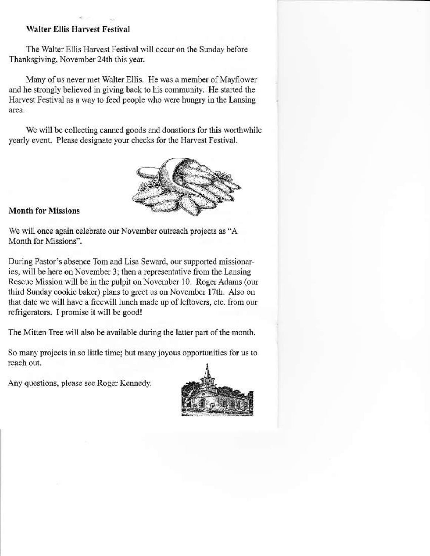## **Walter Ellis Harvest Festival**

The Walter Ellis Harvest Festival will occur on the Sunday before Thanksgiving, November 24th this year.

Many of us never met Walter Ellis. He was a member of Mayflower and he strongly believed in giving back to his community. He started the Harvest Festival as a way to feed people who were hungry in the Lansing area.

We will be collecting canned goods and donations for this worthwhile yearly event. Please designate your checks for the Harvest Festival.



## **Month for Missions**

We will once again celebrate our November outreach projects as "A Month for Missions".

During Pastor's absence Tom and Lisa Seward, our supported missionaries, will be here on November 3; then a representative from the Lansing Rescue Mission will be in the pulpit on November 10. Roger Adams (our third Sunday cookie baker) plans to greet us on November 17th. Also on that date we will have a freewill lunch made up of leftovers, etc. from our refrigerators. I promise it will be good!

The Mitten Tree will also be available during the latter part of the month.

So many projects in so little time; but many joyous opportunities for us to reach out.

Any questions, please see Roger Kennedy.

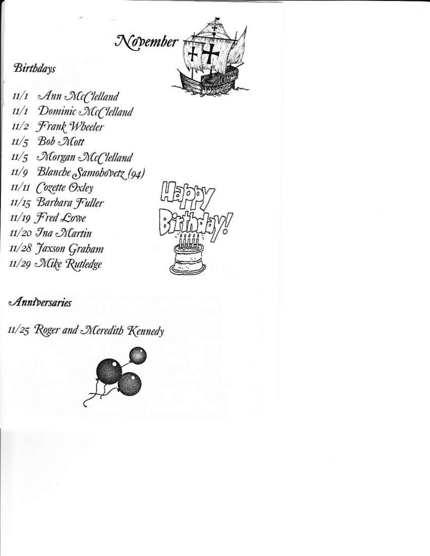

# **Birthdays**

11/1 Ann McClelland 11/1 Dominic McClelland 11/2 Frank Wheeler  $11/5$  Bob Mott 11/5 Norgan NGC lelland 11/9 Blanche Samohovetz (94) 11/11 Cozette Oxley 11/15 Barbara Fuller 11/19 Fred Cowe 11/20 Ina Martin 11/28 Jaxson Grabam 11/29 Mike Rutledge



# Anniversaries

11/25 Roger and Meredith Kennedy